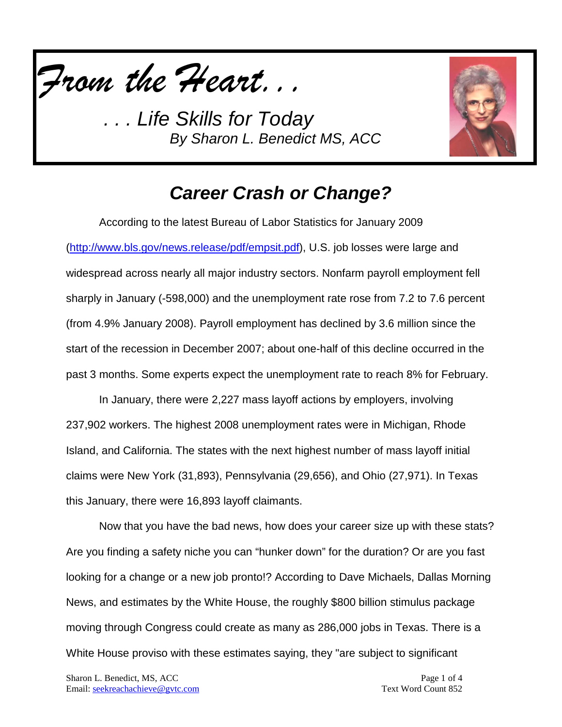



## *Career Crash or Change?*

According to the latest Bureau of Labor Statistics for January 2009 [\(http://www.bls.gov/news.release/pdf/empsit.pdf\)](http://www.bls.gov/news.release/pdf/empsit.pdf), U.S. job losses were large and widespread across nearly all major industry sectors. Nonfarm payroll employment fell sharply in January (-598,000) and the unemployment rate rose from 7.2 to 7.6 percent (from 4.9% January 2008). Payroll employment has declined by 3.6 million since the start of the recession in December 2007; about one-half of this decline occurred in the past 3 months. Some experts expect the unemployment rate to reach 8% for February.

In January, there were 2,227 mass layoff actions by employers, involving 237,902 workers. The highest 2008 unemployment rates were in Michigan, Rhode Island, and California. The states with the next highest number of mass layoff initial claims were New York (31,893), Pennsylvania (29,656), and Ohio (27,971). In Texas this January, there were 16,893 layoff claimants.

Now that you have the bad news, how does your career size up with these stats? Are you finding a safety niche you can "hunker down" for the duration? Or are you fast looking for a change or a new job pronto!? According to Dave Michaels, Dallas Morning News, and estimates by the White House, the roughly \$800 billion stimulus package moving through Congress could create as many as 286,000 jobs in Texas. There is a White House proviso with these estimates saying, they "are subject to significant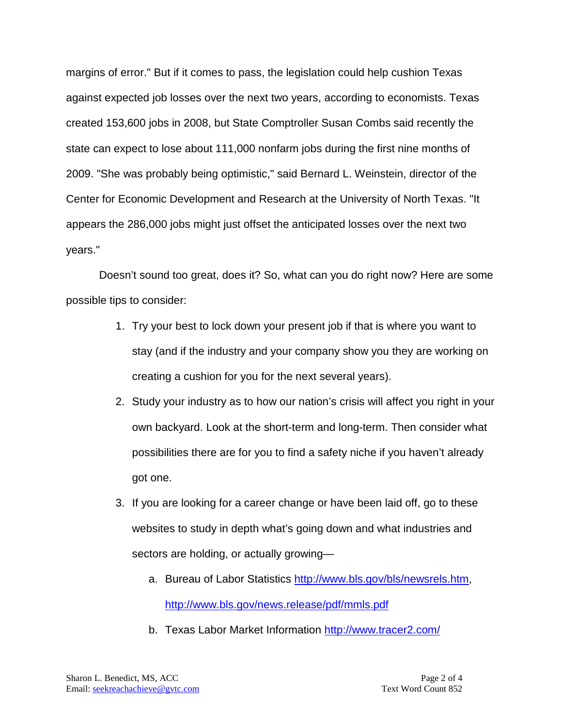margins of error." But if it comes to pass, the legislation could help cushion Texas against expected job losses over the next two years, according to economists. Texas created 153,600 jobs in 2008, but State Comptroller Susan Combs said recently the state can expect to lose about 111,000 nonfarm jobs during the first nine months of 2009. "She was probably being optimistic," said Bernard L. Weinstein, director of the Center for Economic Development and Research at the University of North Texas. "It appears the 286,000 jobs might just offset the anticipated losses over the next two years."

Doesn't sound too great, does it? So, what can you do right now? Here are some possible tips to consider:

- 1. Try your best to lock down your present job if that is where you want to stay (and if the industry and your company show you they are working on creating a cushion for you for the next several years).
- 2. Study your industry as to how our nation's crisis will affect you right in your own backyard. Look at the short-term and long-term. Then consider what possibilities there are for you to find a safety niche if you haven't already got one.
- 3. If you are looking for a career change or have been laid off, go to these websites to study in depth what's going down and what industries and sectors are holding, or actually growing
	- a. Bureau of Labor Statistics [http://www.bls.gov/bls/newsrels.htm,](http://www.bls.gov/bls/newsrels.htm) <http://www.bls.gov/news.release/pdf/mmls.pdf>
	- b. Texas Labor Market Information<http://www.tracer2.com/>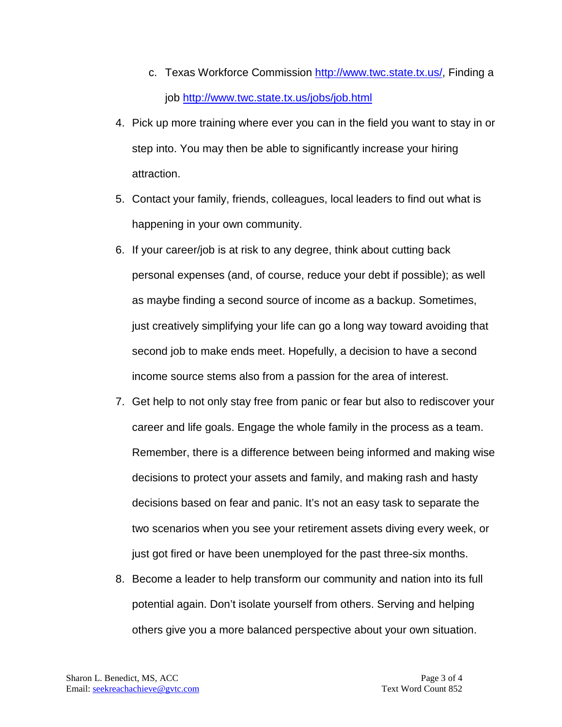- c. Texas Workforce Commission [http://www.twc.state.tx.us/,](http://www.twc.state.tx.us/) Finding a job<http://www.twc.state.tx.us/jobs/job.html>
- 4. Pick up more training where ever you can in the field you want to stay in or step into. You may then be able to significantly increase your hiring attraction.
- 5. Contact your family, friends, colleagues, local leaders to find out what is happening in your own community.
- 6. If your career/job is at risk to any degree, think about cutting back personal expenses (and, of course, reduce your debt if possible); as well as maybe finding a second source of income as a backup. Sometimes, just creatively simplifying your life can go a long way toward avoiding that second job to make ends meet. Hopefully, a decision to have a second income source stems also from a passion for the area of interest.
- 7. Get help to not only stay free from panic or fear but also to rediscover your career and life goals. Engage the whole family in the process as a team. Remember, there is a difference between being informed and making wise decisions to protect your assets and family, and making rash and hasty decisions based on fear and panic. It's not an easy task to separate the two scenarios when you see your retirement assets diving every week, or just got fired or have been unemployed for the past three-six months.
- 8. Become a leader to help transform our community and nation into its full potential again. Don't isolate yourself from others. Serving and helping others give you a more balanced perspective about your own situation.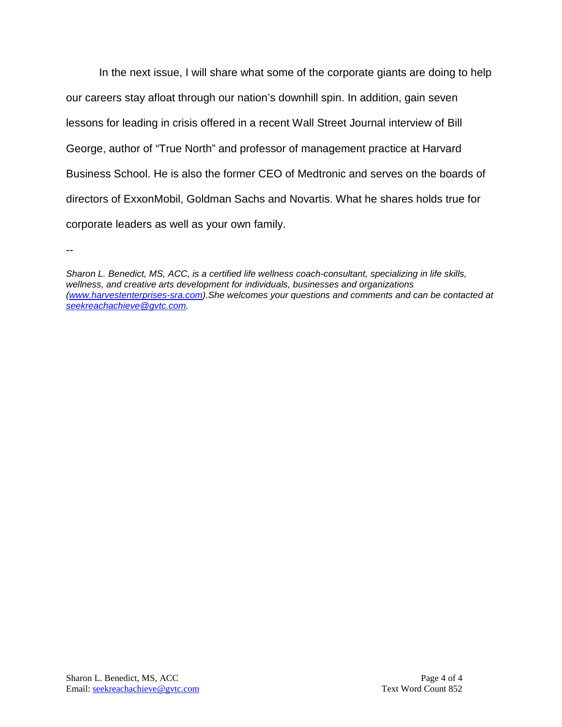In the next issue, I will share what some of the corporate giants are doing to help our careers stay afloat through our nation's downhill spin. In addition, gain seven lessons for leading in crisis offered in a recent Wall Street Journal interview of Bill George, author of "True North" and professor of management practice at Harvard Business School. He is also the former CEO of Medtronic and serves on the boards of directors of ExxonMobil, Goldman Sachs and Novartis. What he shares holds true for corporate leaders as well as your own family.

--

*Sharon L. Benedict, MS, ACC, is a certified life wellness coach-consultant, specializing in life skills, wellness, and creative arts development for individuals, businesses and organizations [\(www.harvestenterprises-sra.com\)](http://www.harvestenterprises-sra.com/).She welcomes your questions and comments and can be contacted at [seekreachachieve@gvtc.com.](mailto:seekreachachieve@gvtc.com)*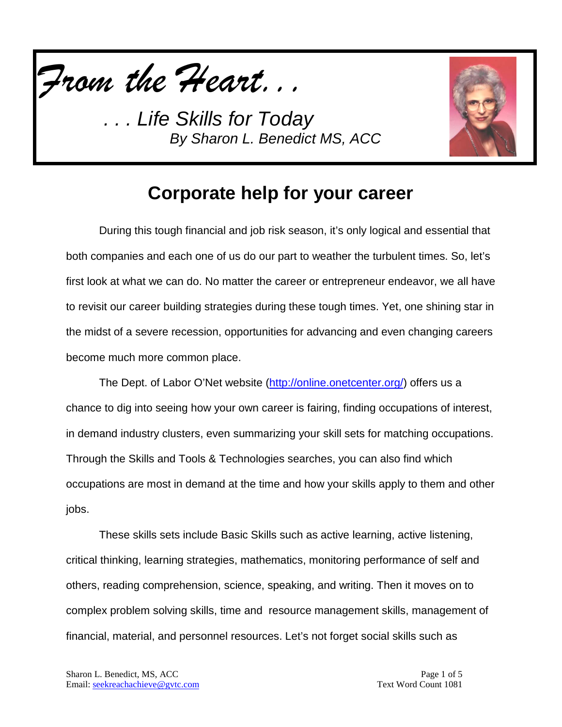



## **Corporate help for your career**

During this tough financial and job risk season, it's only logical and essential that both companies and each one of us do our part to weather the turbulent times. So, let's first look at what we can do. No matter the career or entrepreneur endeavor, we all have to revisit our career building strategies during these tough times. Yet, one shining star in the midst of a severe recession, opportunities for advancing and even changing careers become much more common place.

The Dept. of Labor O'Net website [\(http://online.onetcenter.org/\)](http://online.onetcenter.org/) offers us a chance to dig into seeing how your own career is fairing, finding occupations of interest, in demand industry clusters, even summarizing your skill sets for matching occupations. Through the Skills and Tools & Technologies searches, you can also find which occupations are most in demand at the time and how your skills apply to them and other jobs.

These skills sets include Basic Skills such as active learning, active listening, critical thinking, learning strategies, mathematics, monitoring performance of self and others, reading comprehension, science, speaking, and writing. Then it moves on to complex problem solving skills, time and resource management skills, management of financial, material, and personnel resources. Let's not forget social skills such as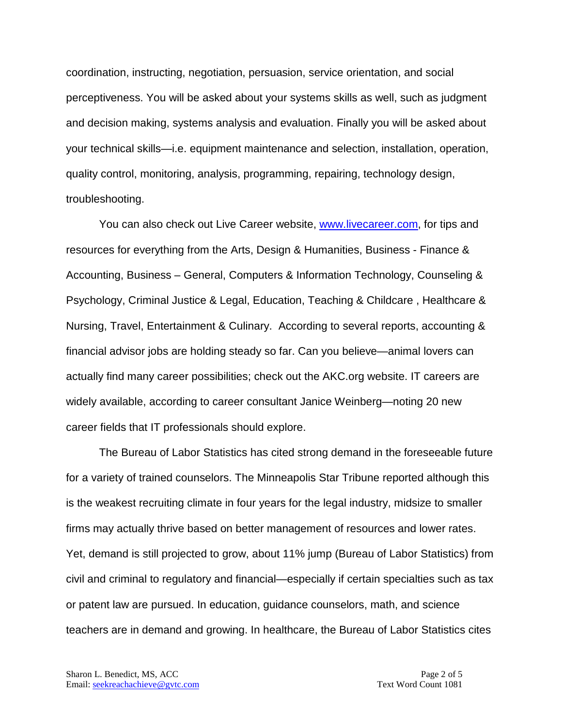coordination, instructing, negotiation, persuasion, service orientation, and social perceptiveness. You will be asked about your systems skills as well, such as judgment and decision making, systems analysis and evaluation. Finally you will be asked about your technical skills—i.e. equipment maintenance and selection, installation, operation, quality control, monitoring, analysis, programming, repairing, technology design, troubleshooting.

You can also check out Live Career website, [www.livecareer.com,](http://www.livecareer.com/) for tips and resources for everything from the Arts, Design & Humanities, Business - Finance & Accounting, Business – General, Computers & Information Technology, Counseling & Psychology, Criminal Justice & Legal, Education, Teaching & Childcare , Healthcare & Nursing, Travel, Entertainment & Culinary. According to several reports, accounting & financial advisor jobs are holding steady so far. Can you believe—animal lovers can actually find many career possibilities; check out the AKC.org website. IT careers are widely available, according to career consultant Janice Weinberg—noting 20 new career fields that IT professionals should explore.

The Bureau of Labor Statistics has cited strong demand in the foreseeable future for a variety of trained counselors. The Minneapolis Star Tribune reported although this is the weakest recruiting climate in four years for the legal industry, midsize to smaller firms may actually thrive based on better management of resources and lower rates. Yet, demand is still projected to grow, about 11% jump (Bureau of Labor Statistics) from civil and criminal to regulatory and financial—especially if certain specialties such as tax or patent law are pursued. In education, guidance counselors, math, and science teachers are in demand and growing. In healthcare, the Bureau of Labor Statistics cites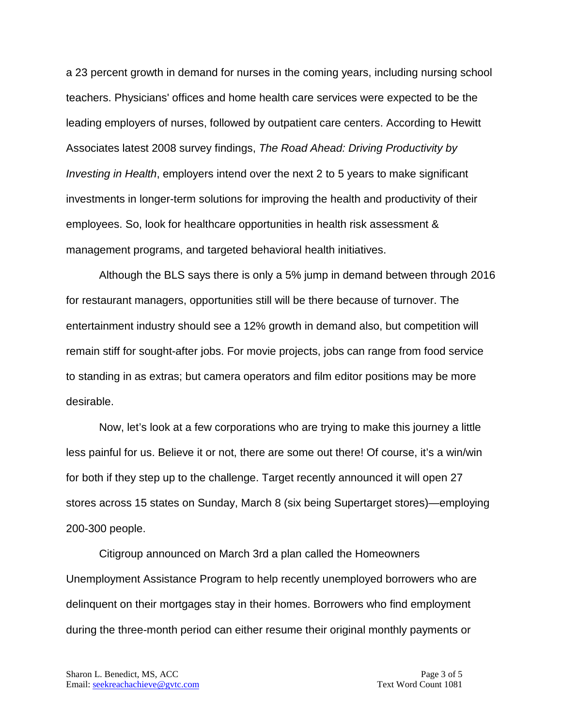a 23 percent growth in demand for nurses in the coming years, including nursing school teachers. Physicians' offices and home health care services were expected to be the leading employers of nurses, followed by outpatient care centers. According to Hewitt Associates latest 2008 survey findings, *The Road Ahead: Driving Productivity by Investing in Health*, employers intend over the next 2 to 5 years to make significant investments in longer-term solutions for improving the health and productivity of their employees. So, look for healthcare opportunities in health risk assessment & management programs, and targeted behavioral health initiatives.

Although the BLS says there is only a 5% jump in demand between through 2016 for restaurant managers, opportunities still will be there because of turnover. The entertainment industry should see a 12% growth in demand also, but competition will remain stiff for sought-after jobs. For movie projects, jobs can range from food service to standing in as extras; but camera operators and film editor positions may be more desirable.

Now, let's look at a few corporations who are trying to make this journey a little less painful for us. Believe it or not, there are some out there! Of course, it's a win/win for both if they step up to the challenge. Target recently announced it will open 27 stores across 15 states on Sunday, March 8 (six being Supertarget stores)—employing 200-300 people.

Citigroup announced on March 3rd a plan called the Homeowners Unemployment Assistance Program to help recently unemployed borrowers who are delinquent on their mortgages stay in their homes. Borrowers who find employment during the three-month period can either resume their original monthly payments or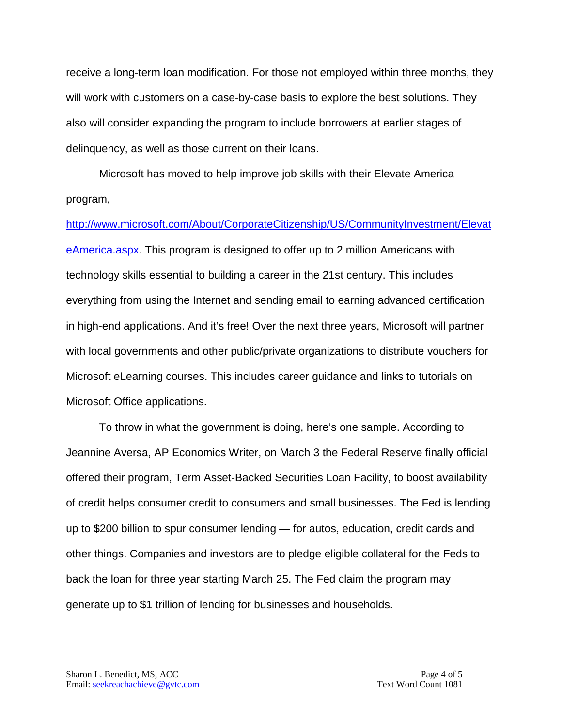receive a long-term loan modification. For those not employed within three months, they will work with customers on a case-by-case basis to explore the best solutions. They also will consider expanding the program to include borrowers at earlier stages of delinquency, as well as those current on their loans.

Microsoft has moved to help improve job skills with their Elevate America program,

[http://www.microsoft.com/About/CorporateCitizenship/US/CommunityInvestment/Elevat](http://www.microsoft.com/About/CorporateCitizenship/US/CommunityInvestment/ElevateAmerica.aspx) [eAmerica.aspx.](http://www.microsoft.com/About/CorporateCitizenship/US/CommunityInvestment/ElevateAmerica.aspx) This program is designed to offer up to 2 million Americans with technology skills essential to building a career in the 21st century. This includes everything from using the Internet and sending email to earning advanced certification in high-end applications. And it's free! Over the next three years, Microsoft will partner with local governments and other public/private organizations to distribute vouchers for Microsoft eLearning courses. This includes career guidance and links to tutorials on Microsoft Office applications.

To throw in what the government is doing, here's one sample. According to Jeannine Aversa, AP Economics Writer, on March 3 the Federal Reserve finally official offered their program, Term Asset-Backed Securities Loan Facility, to boost availability of credit helps consumer credit to consumers and small businesses. The Fed is lending up to \$200 billion to spur consumer lending — for autos, education, credit cards and other things. Companies and investors are to pledge eligible collateral for the Feds to back the loan for three year starting March 25. The Fed claim the program may generate up to \$1 trillion of lending for businesses and households.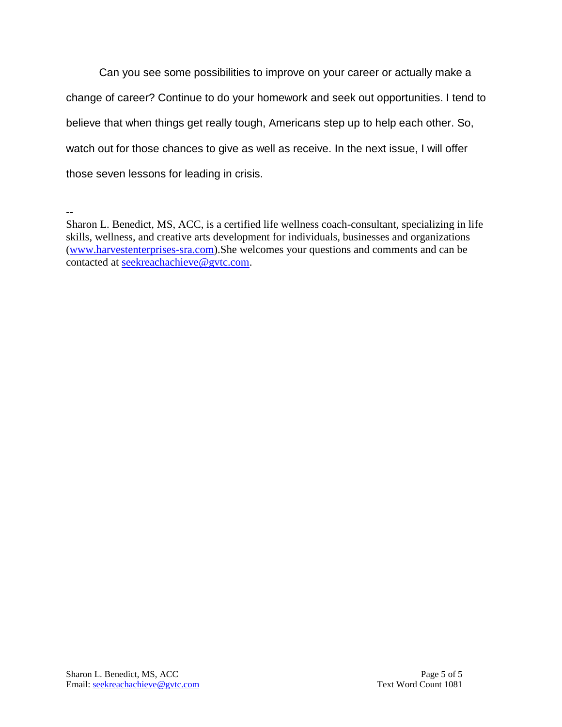Can you see some possibilities to improve on your career or actually make a change of career? Continue to do your homework and seek out opportunities. I tend to believe that when things get really tough, Americans step up to help each other. So, watch out for those chances to give as well as receive. In the next issue, I will offer those seven lessons for leading in crisis.

--

Sharon L. Benedict, MS, ACC, is a certified life wellness coach-consultant, specializing in life skills, wellness, and creative arts development for individuals, businesses and organizations [\(www.harvestenterprises-sra.com\)](http://www.harvestenterprises-sra.com/).She welcomes your questions and comments and can be contacted at [seekreachachieve@gvtc.com.](mailto:seekreachachieve@gvtc.com)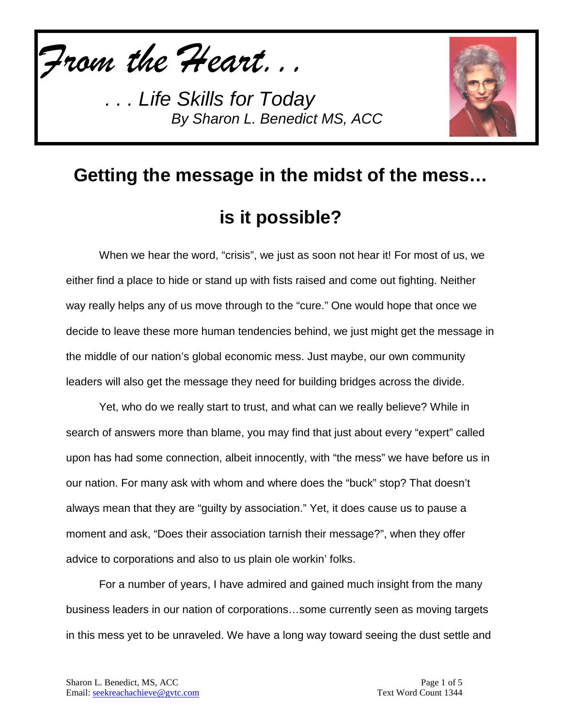*From the Heart...*



## **Getting the message in the midst of the mess… is it possible?**

When we hear the word, "crisis", we just as soon not hear it! For most of us, we either find a place to hide or stand up with fists raised and come out fighting. Neither way really helps any of us move through to the "cure." One would hope that once we decide to leave these more human tendencies behind, we just might get the message in the middle of our nation's global economic mess. Just maybe, our own community leaders will also get the message they need for building bridges across the divide.

Yet, who do we really start to trust, and what can we really believe? While in search of answers more than blame, you may find that just about every "expert" called upon has had some connection, albeit innocently, with "the mess" we have before us in our nation. For many ask with whom and where does the "buck" stop? That doesn't always mean that they are "guilty by association." Yet, it does cause us to pause a moment and ask, "Does their association tarnish their message?", when they offer advice to corporations and also to us plain ole workin' folks.

For a number of years, I have admired and gained much insight from the many business leaders in our nation of corporations…some currently seen as moving targets in this mess yet to be unraveled. We have a long way toward seeing the dust settle and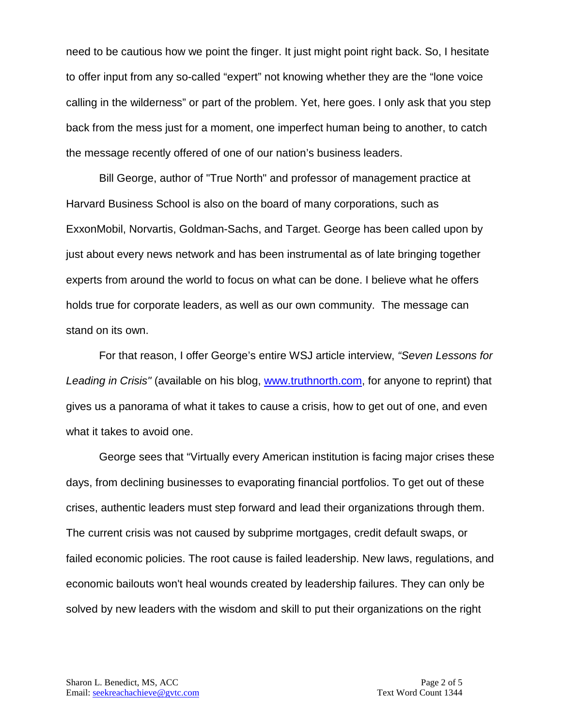need to be cautious how we point the finger. It just might point right back. So, I hesitate to offer input from any so-called "expert" not knowing whether they are the "lone voice calling in the wilderness" or part of the problem. Yet, here goes. I only ask that you step back from the mess just for a moment, one imperfect human being to another, to catch the message recently offered of one of our nation's business leaders.

Bill George, author of "True North" and professor of management practice at Harvard Business School is also on the board of many corporations, such as ExxonMobil, Norvartis, Goldman-Sachs, and Target. George has been called upon by just about every news network and has been instrumental as of late bringing together experts from around the world to focus on what can be done. I believe what he offers holds true for corporate leaders, as well as our own community. The message can stand on its own.

For that reason, I offer George's entire WSJ article interview, *"Seven Lessons for Leading in Crisis"* (available on his blog, [www.truthnorth.com,](http://www.truthnorth.com/) for anyone to reprint) that gives us a panorama of what it takes to cause a crisis, how to get out of one, and even what it takes to avoid one.

George sees that "Virtually every American institution is facing major crises these days, from declining businesses to evaporating financial portfolios. To get out of these crises, authentic leaders must step forward and lead their organizations through them. The current crisis was not caused by subprime mortgages, credit default swaps, or failed economic policies. The root cause is failed leadership. New laws, regulations, and economic bailouts won't heal wounds created by leadership failures. They can only be solved by new leaders with the wisdom and skill to put their organizations on the right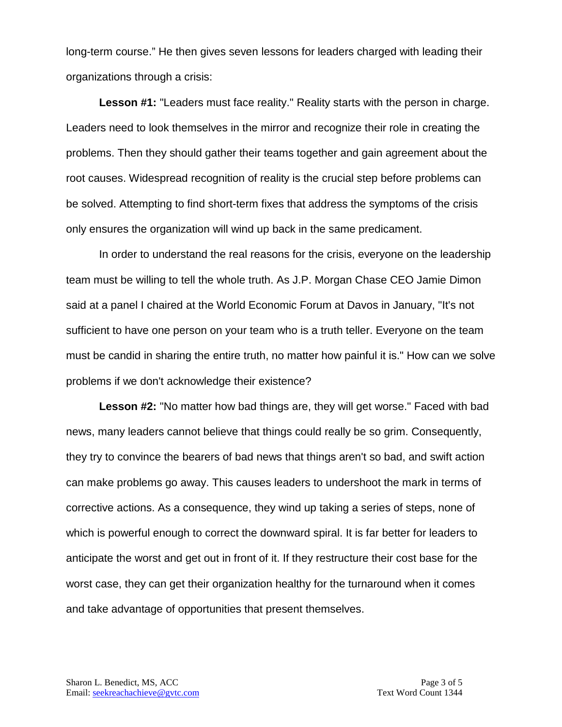long-term course." He then gives seven lessons for leaders charged with leading their organizations through a crisis:

**Lesson #1:** "Leaders must face reality." Reality starts with the person in charge. Leaders need to look themselves in the mirror and recognize their role in creating the problems. Then they should gather their teams together and gain agreement about the root causes. Widespread recognition of reality is the crucial step before problems can be solved. Attempting to find short-term fixes that address the symptoms of the crisis only ensures the organization will wind up back in the same predicament.

In order to understand the real reasons for the crisis, everyone on the leadership team must be willing to tell the whole truth. As J.P. Morgan Chase CEO Jamie Dimon said at a panel I chaired at the World Economic Forum at Davos in January, "It's not sufficient to have one person on your team who is a truth teller. Everyone on the team must be candid in sharing the entire truth, no matter how painful it is." How can we solve problems if we don't acknowledge their existence?

**Lesson #2:** "No matter how bad things are, they will get worse." Faced with bad news, many leaders cannot believe that things could really be so grim. Consequently, they try to convince the bearers of bad news that things aren't so bad, and swift action can make problems go away. This causes leaders to undershoot the mark in terms of corrective actions. As a consequence, they wind up taking a series of steps, none of which is powerful enough to correct the downward spiral. It is far better for leaders to anticipate the worst and get out in front of it. If they restructure their cost base for the worst case, they can get their organization healthy for the turnaround when it comes and take advantage of opportunities that present themselves.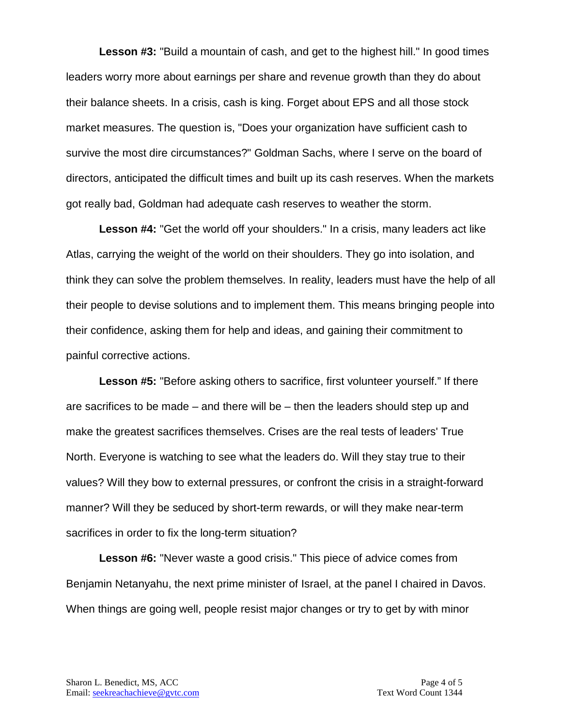**Lesson #3:** "Build a mountain of cash, and get to the highest hill." In good times leaders worry more about earnings per share and revenue growth than they do about their balance sheets. In a crisis, cash is king. Forget about EPS and all those stock market measures. The question is, "Does your organization have sufficient cash to survive the most dire circumstances?" Goldman Sachs, where I serve on the board of directors, anticipated the difficult times and built up its cash reserves. When the markets got really bad, Goldman had adequate cash reserves to weather the storm.

**Lesson #4:** "Get the world off your shoulders." In a crisis, many leaders act like Atlas, carrying the weight of the world on their shoulders. They go into isolation, and think they can solve the problem themselves. In reality, leaders must have the help of all their people to devise solutions and to implement them. This means bringing people into their confidence, asking them for help and ideas, and gaining their commitment to painful corrective actions.

**Lesson #5:** "Before asking others to sacrifice, first volunteer yourself." If there are sacrifices to be made – and there will be – then the leaders should step up and make the greatest sacrifices themselves. Crises are the real tests of leaders' True North. Everyone is watching to see what the leaders do. Will they stay true to their values? Will they bow to external pressures, or confront the crisis in a straight-forward manner? Will they be seduced by short-term rewards, or will they make near-term sacrifices in order to fix the long-term situation?

**Lesson #6:** "Never waste a good crisis." This piece of advice comes from Benjamin Netanyahu, the next prime minister of Israel, at the panel I chaired in Davos. When things are going well, people resist major changes or try to get by with minor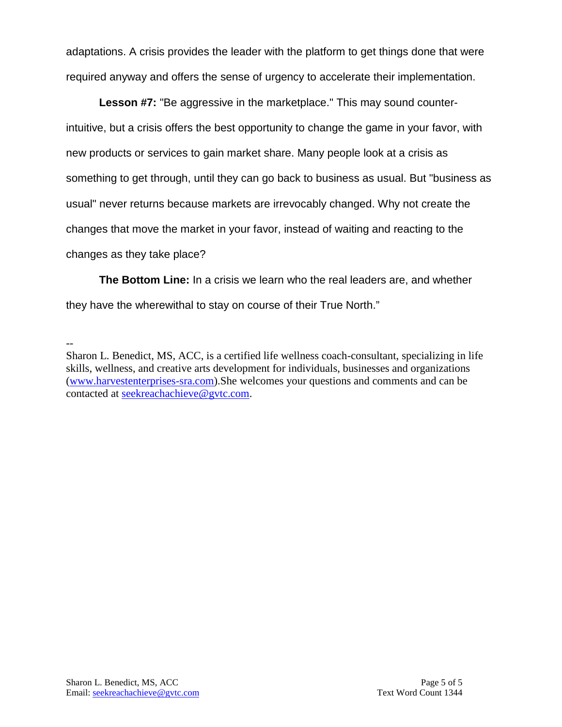adaptations. A crisis provides the leader with the platform to get things done that were required anyway and offers the sense of urgency to accelerate their implementation.

**Lesson #7:** "Be aggressive in the marketplace." This may sound counterintuitive, but a crisis offers the best opportunity to change the game in your favor, with new products or services to gain market share. Many people look at a crisis as something to get through, until they can go back to business as usual. But "business as usual" never returns because markets are irrevocably changed. Why not create the changes that move the market in your favor, instead of waiting and reacting to the changes as they take place?

**The Bottom Line:** In a crisis we learn who the real leaders are, and whether they have the wherewithal to stay on course of their True North."

--

Sharon L. Benedict, MS, ACC, is a certified life wellness coach-consultant, specializing in life skills, wellness, and creative arts development for individuals, businesses and organizations [\(www.harvestenterprises-sra.com\)](http://www.harvestenterprises-sra.com/).She welcomes your questions and comments and can be contacted at [seekreachachieve@gvtc.com.](mailto:seekreachachieve@gvtc.com)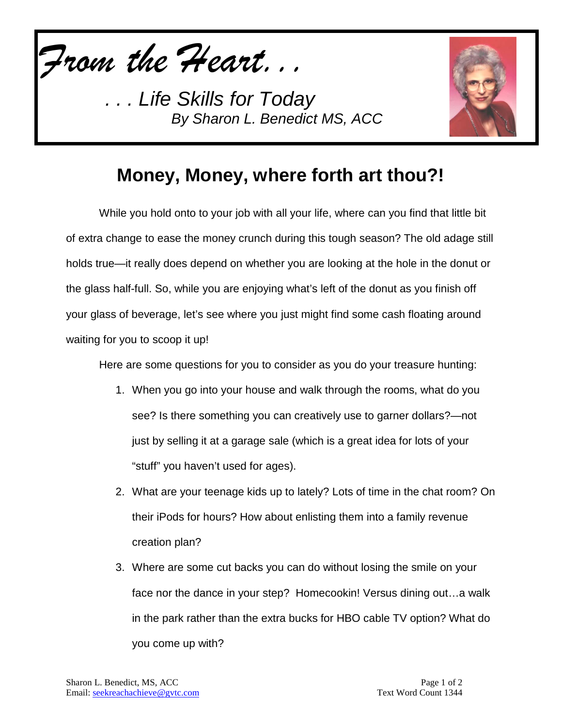*From the Heart...*



## **Money, Money, where forth art thou?!**

While you hold onto to your job with all your life, where can you find that little bit of extra change to ease the money crunch during this tough season? The old adage still holds true—it really does depend on whether you are looking at the hole in the donut or the glass half-full. So, while you are enjoying what's left of the donut as you finish off your glass of beverage, let's see where you just might find some cash floating around waiting for you to scoop it up!

Here are some questions for you to consider as you do your treasure hunting:

- 1. When you go into your house and walk through the rooms, what do you see? Is there something you can creatively use to garner dollars?—not just by selling it at a garage sale (which is a great idea for lots of your "stuff" you haven't used for ages).
- 2. What are your teenage kids up to lately? Lots of time in the chat room? On their iPods for hours? How about enlisting them into a family revenue creation plan?
- 3. Where are some cut backs you can do without losing the smile on your face nor the dance in your step? Homecookin! Versus dining out…a walk in the park rather than the extra bucks for HBO cable TV option? What do you come up with?